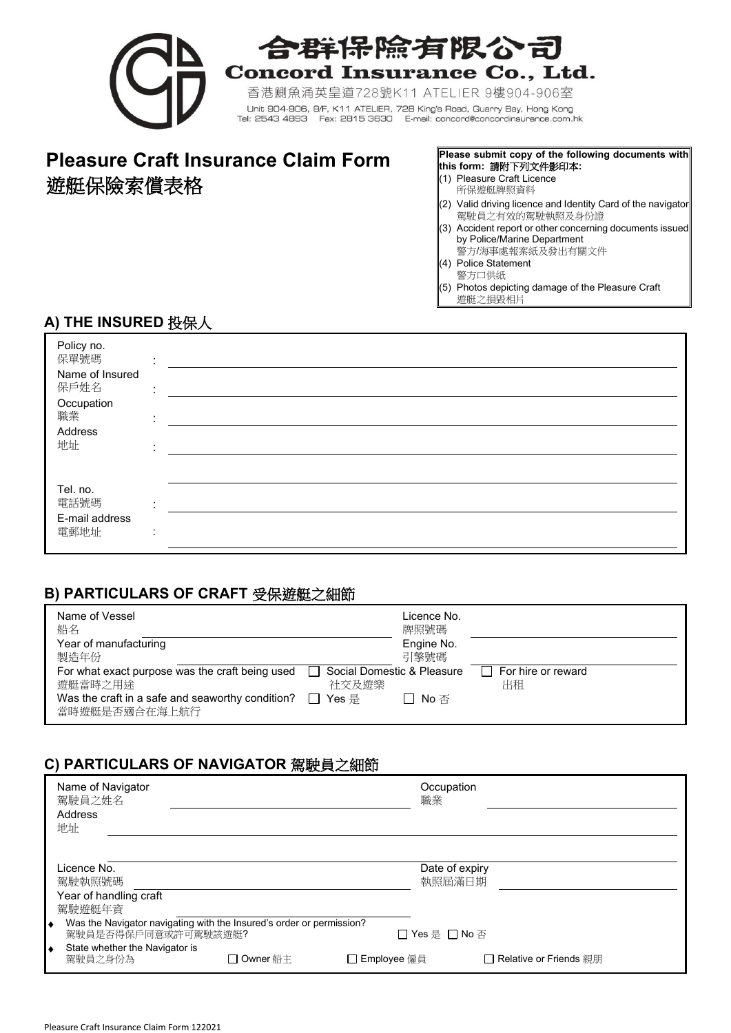

# 合群保除有限公司

**Concord Insurance Co., Ltd.** 

香港鰂魚涌英皇道728號K11 ATELIER 9樓904-906室 Unit 904-906, 9/F, K11 ATELIER, 728 King's Road, Quarry Bay, Hong Kong<br>Tel: 2543 4893 Fax: 2815 3630 E-mail: concord@concordinsurance.com.hk

# **Pleasure Craft Insurance Claim Form Please submit copy of the following documents with** 遊艇保險索償表格  $\mathcal{L}$  and  $\mathcal{L}$  and  $\mathcal{L}$  (1) Pleasure Craft Licence

# **this form:** 請附下列文件影印本**:**

- 所保遊艇牌照資料
- (2) Valid driving licence and Identity Card of the navigator 駕駛員之有效的駕駛執照及身份證
- (3) Accident report or other concerning documents issued by Police/Marine Department 警方/海事處報案紙及發出有關文件
- (4) Police Statement
- 警方口供紙
- (5) Photos depicting damage of the Pleasure Craft 遊艇之損毀相片

## **A) THE INSURED** 投保人

| Policy no.<br>保單號碼<br>Name of Insured<br>保戶姓名<br>Occupation<br>職業<br>Address<br>地址 | ٠<br>٠<br>٠<br>$\mathbf{r}$<br>٠                 |  |
|------------------------------------------------------------------------------------|--------------------------------------------------|--|
| Tel. no.<br>電話號碼<br>E-mail address<br>電郵地址                                         | $\bullet$<br>$\mathbf{r}$<br>٠<br>$\blacksquare$ |  |

#### **B) PARTICULARS OF CRAFT** 受保遊艇之細節

| Name of Vessel<br>船名                                              | Licence No.<br>牌照號碼        |                    |
|-------------------------------------------------------------------|----------------------------|--------------------|
| Year of manufacturing                                             | Engine No.                 |                    |
| 製造年份                                                              | 引擎號碼                       |                    |
| For what exact purpose was the craft being used                   | Social Domestic & Pleasure | For hire or reward |
| 遊艇當時之用途                                                           | 社交及游樂                      | 出租                 |
| Was the craft in a safe and seaworthy condition?<br>當時遊艇是否適合在海上航行 | Yes 是<br>No 否              |                    |

## **C) PARTICULARS OF NAVIGATOR** 駕駛員之細節

| Name of Navigator<br>駕駛員之姓名<br>Address<br>地址                                                                                                       |          | Occupation<br>職業              |                          |
|----------------------------------------------------------------------------------------------------------------------------------------------------|----------|-------------------------------|--------------------------|
| Licence No.<br>駕駛執照號碼<br>Year of handling craft<br>駕駛遊艇年資                                                                                          |          | Date of expiry<br>執照屆滿日期      |                          |
| Was the Navigator navigating with the Insured's order or permission?<br>٠<br>駕駛員是否得保戶同意或許可駕駛該遊艇?<br>State whether the Navigator is<br>٠<br>駕駛員之身份為 | Owner 船主 | □ Yes 是 □ No 否<br>Employee 僱員 | □ Relative or Friends 親朋 |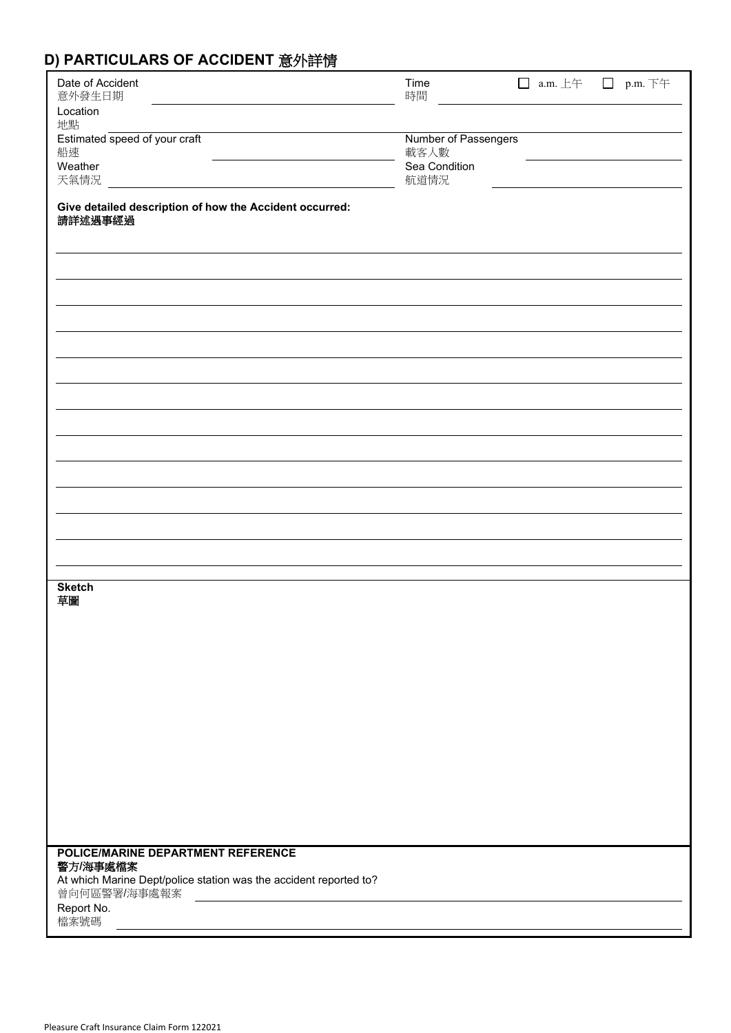# **D) PARTICULARS OF ACCIDENT** 意外詳情

| Date of Accident<br>意外發生日期                                                        | Time<br>時間                   | $\Box$ a.m. $\pm \mp$ | $\Box$ | p.m. 下午 |
|-----------------------------------------------------------------------------------|------------------------------|-----------------------|--------|---------|
| Location<br>地點                                                                    |                              |                       |        |         |
| Estimated speed of your craft<br>船速                                               | Number of Passengers<br>載客人數 |                       |        |         |
| Weather                                                                           | Sea Condition                |                       |        |         |
| 天氣情況                                                                              | 航道情況                         |                       |        |         |
| Give detailed description of how the Accident occurred:<br>請詳述遇事經過                |                              |                       |        |         |
|                                                                                   |                              |                       |        |         |
|                                                                                   |                              |                       |        |         |
|                                                                                   |                              |                       |        |         |
|                                                                                   |                              |                       |        |         |
|                                                                                   |                              |                       |        |         |
|                                                                                   |                              |                       |        |         |
|                                                                                   |                              |                       |        |         |
|                                                                                   |                              |                       |        |         |
|                                                                                   |                              |                       |        |         |
|                                                                                   |                              |                       |        |         |
|                                                                                   |                              |                       |        |         |
|                                                                                   |                              |                       |        |         |
|                                                                                   |                              |                       |        |         |
|                                                                                   |                              |                       |        |         |
| <b>Sketch</b><br>草圖                                                               |                              |                       |        |         |
|                                                                                   |                              |                       |        |         |
|                                                                                   |                              |                       |        |         |
|                                                                                   |                              |                       |        |         |
|                                                                                   |                              |                       |        |         |
|                                                                                   |                              |                       |        |         |
|                                                                                   |                              |                       |        |         |
|                                                                                   |                              |                       |        |         |
|                                                                                   |                              |                       |        |         |
|                                                                                   |                              |                       |        |         |
|                                                                                   |                              |                       |        |         |
| POLICE/MARINE DEPARTMENT REFERENCE<br>警方/海事處檔案                                    |                              |                       |        |         |
| At which Marine Dept/police station was the accident reported to?<br>曾向何區警署/海事處報案 |                              |                       |        |         |
| <u> 1980 - Jan Samuel Barbara, martin di</u><br>Report No.                        |                              |                       |        |         |
| 檔案號碼                                                                              |                              |                       |        |         |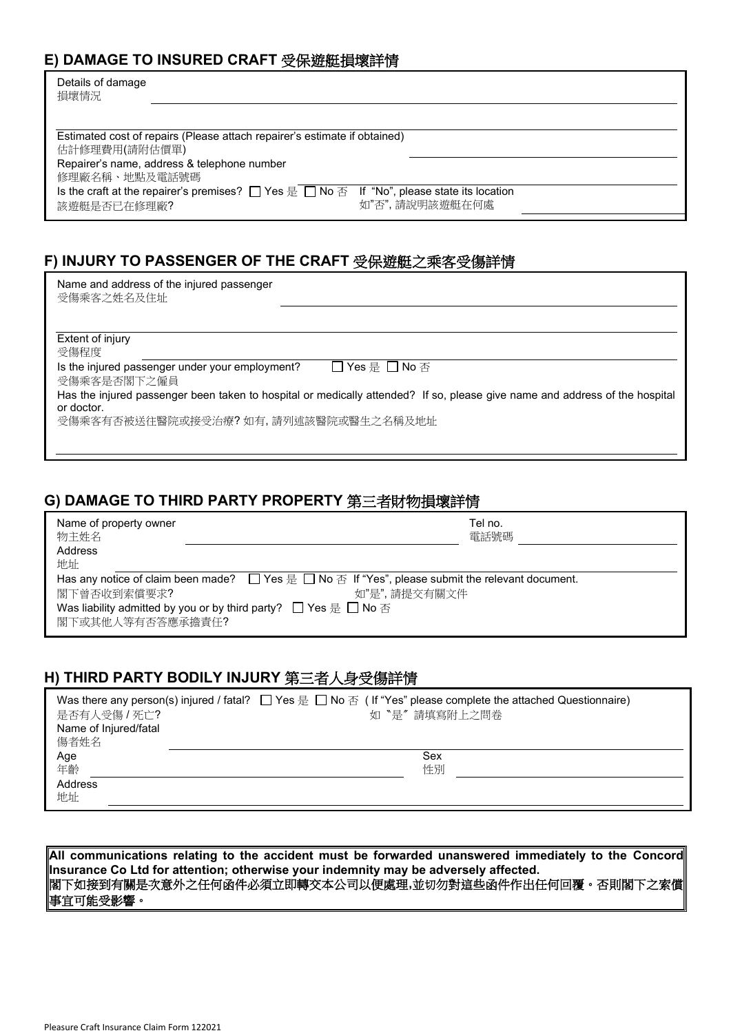#### **E) DAMAGE TO INSURED CRAFT** 受保遊艇損壞詳情

| Details of damage<br>損壞情況                                                                                                   |
|-----------------------------------------------------------------------------------------------------------------------------|
|                                                                                                                             |
| Estimated cost of repairs (Please attach repairer's estimate if obtained)                                                   |
| 估計修理費用(請附估價單)                                                                                                               |
| Repairer's name, address & telephone number                                                                                 |
| 修理廠名稱、地點及電話號碼                                                                                                               |
| Is the craft at the repairer's premises? $\Box$ Yes $\equiv$ $\Box$ No $\bar{\triangle}$ If "No", please state its location |
| 如"否",請說明該遊艇在何處<br>該遊艇是否已在修理廠?                                                                                               |

#### **F) INJURY TO PASSENGER OF THE CRAFT** 受保遊艇之乘客受傷詳情

| Name and address of the injured passenger |  |
|-------------------------------------------|--|
| 受傷乘客之姓名及住址                                |  |

Extent of injury

受傷程度 Is the injured passenger under your employment?  $\Box$  Yes  $\bigoplus$  No  $\overline{\vartriangle}$ 

受傷乘客是否閣下之僱員

Has the injured passenger been taken to hospital or medically attended? If so, please give name and address of the hospital or doctor.

受傷乘客有否被送往醫院或接受治療? 如有, 請列述該醫院或醫生之名稱及地址

#### **G) DAMAGE TO THIRD PARTY PROPERTY** 第三者財物損壞詳情

| Name of property owner<br>物主姓名                                                                                                 | Tel no.<br>電話號碼 |
|--------------------------------------------------------------------------------------------------------------------------------|-----------------|
| Address                                                                                                                        |                 |
| 地址                                                                                                                             |                 |
| Has any notice of claim been made? $\Box$ Yes $\equiv$ $\Box$ No $\bar{\alpha}$ If "Yes", please submit the relevant document. |                 |
| 閣下曾否收到索償要求?<br>如"是",請提交有關文件                                                                                                    |                 |
| Was liability admitted by you or by third party? $\Box$ Yes $\equiv$ $\Box$ No $\bar{\triangle}$                               |                 |
| 閣下或其他人等有否答應承擔責任?                                                                                                               |                 |

#### **H) THIRD PARTY BODILY INJURY** 第三者人身受傷詳情

**All communications relating to the accident must be forwarded unanswered immediately to the Concord Insurance Co Ltd for attention; otherwise your indemnity may be adversely affected.** 閣下如接到有關是次意外之任何函件必須立即轉交本公司以便處理**,**並切勿對這些函件作出任何回覆。否則閣下之索償 事宜可能受影響。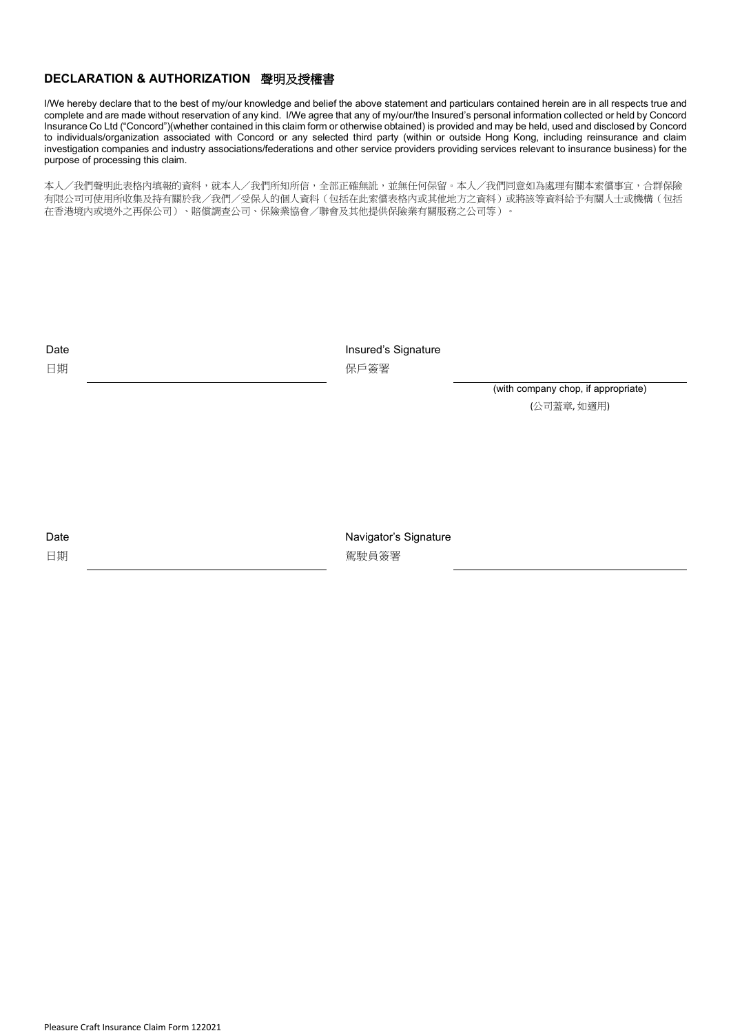#### **DECLARATION & AUTHORIZATION** 聲明及授權書

I/We hereby declare that to the best of my/our knowledge and belief the above statement and particulars contained herein are in all respects true and complete and are made without reservation of any kind. I/We agree that any of my/our/the Insured's personal information collected or held by Concord Insurance Co Ltd ("Concord")(whether contained in this claim form or otherwise obtained) is provided and may be held, used and disclosed by Concord to individuals/organization associated with Concord or any selected third party (within or outside Hong Kong, including reinsurance and claim investigation companies and industry associations/federations and other service providers providing services relevant to insurance business) for the purpose of processing this claim.

本人/我們聲明此表格內填報的資料,就本人/我們所知所信,全部正確無訛,並無任何保留。本人/我們同意如為處理有關本索償事宜,合群保險 有限公司可使用所收集及持有關於我/我們/受保人的個人資料(包括在此索償表格內或其他地方之資料)或將該等資料給予有關人士或機構(包括 在香港境內或境外之再保公司)、賠償調查公司、保險業協會/聯會及其他提供保險業有關服務之公司等)。

Insured's Signature 保戶簽署

> (with company chop, if appropriate) (公司蓋章, 如適用)

Date

日期

Navigator's Signature 駕駛員簽署